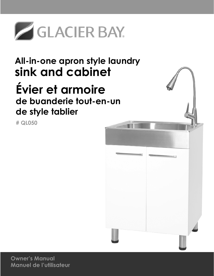

# **All-in-one apron style laundry sink and cabinet Évier et armoire de buanderie tout-en-un de style tablier**

**# QL050**



**Owner's Manual Manuel de l'utilisateur**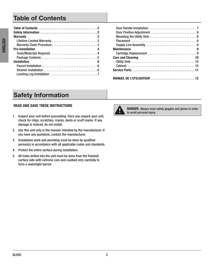## **Table of Contents**

| <b>Warranty</b>           |
|---------------------------|
|                           |
| Warranty Claim Procedure3 |
| <b>Pre-Installation</b>   |
|                           |
|                           |
| <b>Installation</b><br>6  |
|                           |
|                           |
|                           |

| <b>Maintenance</b>             |
|--------------------------------|
|                                |
| <b>Care and Cleaning</b><br>10 |
|                                |
|                                |
|                                |
| MANUEL DE L'UTILISATEUR  12    |

# **Safety Information**

#### READ AND SAVE THESE INSTRUCTIONS

- 1. Inspect your unit before proceeding. Once you unpack your unit, check for chips, scratches, cracks, dents or scuff marks . If any damage is noticed, do not install.
- 2. Use this unit only in the manner intended by the manufacturer. If you have any questions, contact the manufacturer.
- 3. Installation work and plumbing must be done by qualified person(s) in accordance with all applicable codes and standards .
- 4. Protect the entire surface during installation.
- 5 . All holes drilled into the unit must be done from the finished surface side with extreme care and caulked very carefully to form a watertight barrier.



DANGER: Always wear safety goggles and gloves in order to avoid personal injury.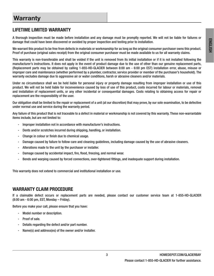## **Warranty**

### LIFETIME LIMITED WARRANTY

A thorough inspection must be made before installation and any damage must be promptly reported . We will not be liable for failures or damage that could have been discovered or avoided by proper inspection and testing prior to installation .

We warrant this product to be free from defects in materials or workmanship for as long as the original consumer purchaser owns this product. Proof of purchase (original sales receipt) from the original consumer purchaser must be made available to us for all warranty claims.

This warranty is non-transferable and shall be voided if the unit is removed from its initial installation or if it is not installed following the manufacturer's instructions . It does not apply in the event of product damage due to the use of other than our genuine replacement parts, (Replacement parts may be obtained by calling 1-855-HD-GLACIER between 8:00 am - 6:00 pm EST) installation error, abuse, misuse or improper care and maintenance (whether performed by a plumber, contractor, service provider or member of the purchaser's household) . The warranty excludes damage due to aggressive air or water conditions, harsh or abrasive cleaners and/or materials.

Under no circumstance shall we be held liable for personal injury or property damage resulting from improper installation or use of this product . We will not be held liable for inconvenience caused by loss of use of this product, costs incurred for labour or materials, removal and installation of replacement units, or any other incidental or consequential damages . Costs relating to obtaining access for repair or replacement are the responsibility of the user.

Our obligation shall be limited to the repair or replacement of a unit (at our discretion) that may prove, by our sole examination, to be defective under normal use and service during the warranty period.

Any failure of this product that is not traceable to a defect in material or workmanship is not covered by this warranty . These non-warrantable items include, but are not limited to:

- Improper installation not in accordance with manufacturer's instructions.
- Dents and/or scratches incurred during shipping, handling, or installation.
- Change in colour or finish due to chemical usage.
- Damage caused by failure to follow care and cleaning guidelines, including damage caused by the use of abrasive cleaners .
- Alterations made to the unit by the purchaser or installer.
- Damage caused by accidental impact, fire, flood, freezing, and normal wear.
- Bends and warping caused by forced connections, over-tightened fittings, and inadequate support during installation.

This warranty does not extend to commercial and institutional installation or use .

#### WARRANTY CLAIM PROCEDURE

If a claimable defect occurs or replacement parts are needed, please contact our customer service team at 1-855-HD-GLACIER (8:00 am - 6:00 pm, EST, Monday – Friday) .

Before you make your call, please ensure that you have:

- Model number or description.
- Proof of sale.
- Details regarding the defect and/or part number.
- Name(s) and address(es) of the owner and/or installer.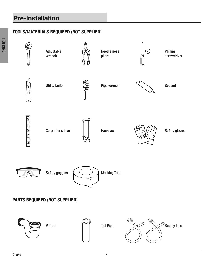# **Pre-Installation**

## TOOLS/MATERIALS REQUIRED (NOT SUPPLIED)

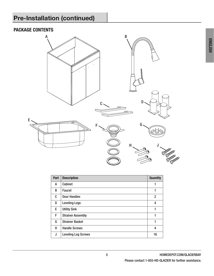# **Pre-Installation (continued)**

## PACKAGE CONTENTS



| Part | <b>Description</b>         | <b>Quantity</b> |
|------|----------------------------|-----------------|
| A    | Cabinet                    |                 |
| B    | Faucet                     | 1               |
| C    | Door Handles               | 2               |
| D    | <b>Leveling Legs</b>       | 4               |
| E    | <b>Utility Sink</b>        |                 |
| F    | <b>Strainer Assembly</b>   | 1               |
| G    | <b>Strainer Basket</b>     | 1               |
| н    | <b>Handle Screws</b>       | 4               |
| J    | <b>Leveling Leg Screws</b> | 16              |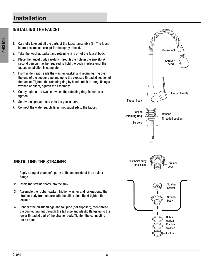## **Installation**

### INSTALLING THE FAUCET

- 1. Carefully take out all the parts of the faucet assembly (B). The faucet is pre-assembled, except for the sprayer head .
- 2. Take the washer, gasket and retaining ring off of the faucet body.
- 3. Place the faucet body carefully through the hole in the sink (E). A second person may be required to hold the body in place until the faucet installation is complete.
- 4 . From underneath, slide the washer, gasket and retaining ring over the end of the copper pipe and up to the exposed threaded section of the faucet. Tighten the retaining ring by hand until it is snug. Using a wrench or pliers, tighten the assembly.
- 5 . Gently tighten the two screws on the retaining ring . Do not over tighten.
- 6. Screw the sprayer head onto the gooseneck.
- 7. Connect the water supply lines (not supplied) to the faucet.



- 1. Apply a ring of plumber's putty to the underside of the strainer flange.
- 2. Insert the strainer body into the sink.
- 3 . Assemble the rubber gasket, friction washer and locknut onto the strainer body from underneath the utility sink . Hand tighten the locknut.
- 4 . Connect the plastic flange and tail pipe (not supplied), then thread the connecting nut through the tail pipe and plastic flange up to the lower threaded part of the strainer body. Tighten the connecting nut by hand.

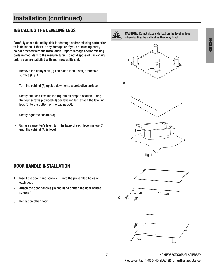# **Installation (continued)**

### INSTALLING THE LEVELING LEGS

Carefully check the utility sink for damage and/or missing parts prior to installation. If there is any damage or if you are missing parts, do not proceed with the installation. Report damage and/or missing parts immediately to the manufacturer . Do not dispose of packaging before you are satisfied with your new utility sink.

- Remove the utility sink (E) and place it on a soft, protective surface (Fig. 1).
- Turn the cabinet (A) upside down onto a protective surface.
- Gently put each leveling leg (D) into its proper location. Using the four screws provided (J) per leveling leg, attach the leveling legs (D) to the bottom of the cabinet (A).
- Gently right the cabinet (A).
- Using a carpenter's level, turn the base of each leveling leg (D) until the cabinet (A) is level.



CAUTION: Do not place side load on the leveling legs when righting the cabinet as they may break.





#### DOOR HANDLE INSTALLATION

- 1. Insert the door hand screws (H) into the pre-drilled holes on each door.
- 2. Attach the door handles (C) and hand tighten the door handle screws (H).
- 3. Repeat on other door.

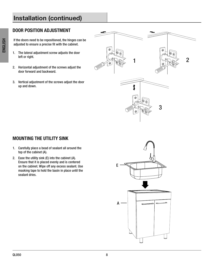# **Installation (continued)**

### DOOR POSITION ADJUSTMENT

If the doors need to be repositioned, the hinges can be adjusted to ensure a precise fit with the cabinet.

- 1. The lateral adjustment screw adjusts the door left or right.
- 2. Horizontal adjustment of the screws adjust the door forward and backward.
- 3. Vertical adjustment of the screws adjust the door up and down.



### MOUNTING THE UTILITY SINK

- 1. Carefully place a bead of sealant all around the top of the cabinet (A).
- 2. Ease the utility sink  $(E)$  into the cabinet  $(A)$ . Ensure that it is placed evenly and is centered on the cabinet. Wipe off any excess sealant. Use masking tape to hold the basin in place until the sealant dries.

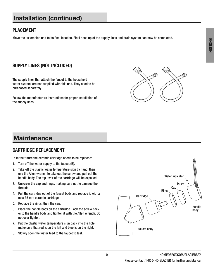## **Installation (continued)**

### PLACEMENT

Move the assembled unit to its final location. Final hook up of the supply lines and drain system can now be completed.

### SUPPLY LINES (NOT INCLUDED)

The supply lines that attach the faucet to the household water system, are not supplied with this unit. They need to be purchased separately.

Follow the manufacturers instructions for proper installation of the supply lines.



## **Maintenance**

#### CARTRIDGE REPLACEMENT

If in the future the ceramic cartridge needs to be replaced:

- 1. Turn off the water supply to the faucet (B).
- 2. Take off the plastic water temperature sign by hand, then use the Allen wrench to take out the screw and pull out the handle body. The top lever of the cartridge will be exposed.
- 3. Unscrew the cap and rings, making sure not to damage the threads.
- 4 . Pull the cartridge out of the faucet body and replace it with a new 35 mm ceramic cartridge .
- 5. Replace the rings, then the cap.
- 6. Place the handle body on the cartridge. Lock the screw back onto the handle body and tighten it with the Allen wrench . Do not over tighten.
- 7. Put the plastic water temperature sign back into the hole, make sure that red is on the left and blue is on the right.
- 8. Slowly open the water feed to the faucet to test.

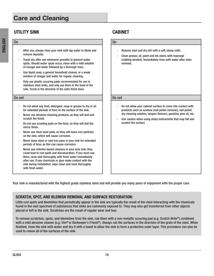## **Care and Cleaning**

## UTILITY SINK CABINET

- After use, always rinse your sink with tap water to dilute and remove deposits.
- Towel dry after use whenever possible to prevent water spots . Should water spots occur, clean with a mild solution of vinegar and water followed by a thorough rinse .
- Use liquid soap, a general household cleaner, or a weak solution of vinegar and water for regular cleaning.
- Only use plastic scouring pads recommended for use in stainless steel sinks, and only use them in the bowl of the sink. Scrub in the direction of the satin finish lines.

Do not Do not

- Do not allow any food, detergent, soap or grease to dry or sit for extended periods of time on the surface of the sink .
- Never use abrasive cleaning products, as they will dull and scratch the finish.
- Do not use scouting pads on the deck, as they will dull the mirror finish.
- Never use steel wool pads, as they will leave iron particles on the sink, which will cause corrosion.
- Never leave steel or cast iron pans in your sink for extended periods of time, as this can cause corrosion.
- Never use chlorine-based cleaners in your new sink, they could lead to rust spots and discolouration . If you must use them, rinse sink thoroughly with fresh water immediately after use. If any chemicals or glue make contact with the sink during installation, wipe clean and rinse thoroughly with fresh water.

#### Do Do

- Remove dust and dry dirt with a soft, damp cloth.
- Clean grease, oil, paint and ink stains with isopropyl (rubbing alcohol) . Immediately rinse with water after stain removal.

- Do not allow your cabinet surface to come into contact with products such as acetone (nail polish remover), nail polish, dry cleaning solution, lacquer thinners, gasoline, pine oil, etc.
- Use caution when using sharp instruments that may fall and scratch the surface

Your sink is manufactured with the highest grade stainless steel and will provide you many years of enjoyment with the proper care .

#### SCRATCH, SPOT, AND BLEMISH REMOVAL AND SURFACE RESTORATION:

Little rust spots and blemishes that periodically appear in the sink are typically the result of the steel interacting with the chemicals found in the vast spectrum of substances that sinks are commonly exposed to. They may also get transferred from other objects placed or left in the sink. Scratches are the result of regular wear and tear.

To remove scratches, spots, and blemishes from the sink, rub them with a non-metallic scouring pad (e.g. Scotch-Brite®) combined with a mild abrasive cleaner (e.g. Vim® or Barkeeper's Friend®). Always rub the surfaces in the direction of the grain of the steel. When finished, rinse the sink with water and dry it with a towel to allow the sink to form a protective outer layer. This procedure can also be used to renew all of the surfaces of the sink.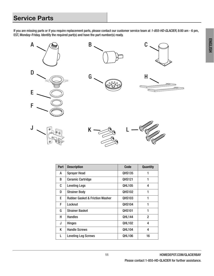# **Service Parts**

If you are missing parts or if you require replacement parts, please contact our customer service team at 1-855-HD-GLACIER, 8:00 am - 6 pm, EST, Monday–Friday . Identify the required part(s) and have the part number(s) ready .



| Part | <b>Description</b>                         | Code          | <b>Quantity</b> |
|------|--------------------------------------------|---------------|-----------------|
| A    | <b>Sprayer Head</b>                        | <b>QHS135</b> | 1               |
| B    | <b>Ceramic Cartridge</b>                   | <b>QHS121</b> | 1               |
| C    | <b>Leveling Legs</b>                       | <b>QHL105</b> | 4               |
| D    | <b>Strainer Body</b>                       | <b>QHS102</b> | 1               |
| E    | <b>Rubber Gasket &amp; Friction Washer</b> | <b>QHS103</b> | 1               |
| F    | Locknut                                    | <b>QHS104</b> | 1               |
| G    | <b>Strainer Basket</b>                     | <b>QHS101</b> | 1               |
| н    | <b>Handles</b>                             | <b>QHL144</b> | $\overline{2}$  |
| J    | <b>Hinges</b>                              | <b>QHL102</b> | 4               |
| K    | <b>Handle Screws</b>                       | <b>QHL104</b> | 4               |
| L    | <b>Leveling Leg Screws</b>                 | <b>QHL106</b> | 16              |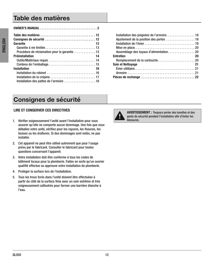## **Table des matières**

| Garantie<br>13                               |
|----------------------------------------------|
|                                              |
| Procédure de réclamation pour la garantie 13 |
| <b>Préinstallation</b><br>$\sim$ 14          |
|                                              |
|                                              |
| <b>Installation</b><br>-16                   |
|                                              |
|                                              |
|                                              |

| Installation des poignées de l'armoire 18 |
|-------------------------------------------|
| Ajustement de la position des portes  19  |
|                                           |
|                                           |
|                                           |
| <b>Entretien</b><br>20                    |
|                                           |
| <b>Soin et Nettoyage</b><br>21            |
|                                           |
|                                           |
|                                           |

# **Consignes de sécurité**

#### LIRE ET CONSERVER CES DIRECTIVES

- 1 . Vérifier soigneusement l'unité avant l'installation pour vous assurer qu'elle ne comporte aucun dommage. Une fois que vous déballez votre unité, vérifiez pour les rayures, les fissures, les bosses ou les éraflures. Si des dommages sont notés, ne pas installer.
- 2. Cet appareil ne peut être utilisé autrement que pour l'usage prévu par le fabricant. Consulter le fabricant pour toutes questions concernant l'appareil.
- 3 . Votre installation doit être conforme à tous les codes de bâtiment locaux pour la plomberie. Faites en sorte qu'un ouvrier qualifié effectue ou approuve votre installation de plomberie.
- 4. Protèger la surface lors de l'installation.
- 5 . Tous les trous forés dans l'unité doivent être effectuées à partir du côté de la surface finie avec un soin extrême et très soigneusement calfeutrés pour former une barrière étanche à l'eau.



AVERTISSEMENT : Toujours porter des lunettes et des gants de sécurité pendant l'installation afin d'éviter les blessures.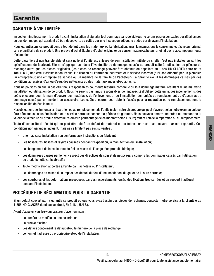## GARANTIE À VIE LIMITÉE

Inspecter minutieusement le produit avant l'installation et signaler tout dommage sans délai . Nous ne serons pas responsables des défaillances ou des dommages qui auraient dû être découverts ou évités par une inspection adéquate et des essais avant l'installation .

Nous garantissons ce produit contre tout défaut dans les matériaux ou la fabrication, aussi longtemps que le consommateur/acheteur original sera propriétaire de ce produit. Une preuve d'achat (facture d'achat originale) du consommateur/acheteur original devra accompagner toute réclamation.

Cette garantie est non transférable et sera nulle si l'unité est enlevée de son installation initiale ou si elle n'est pas installée suivant les spécifications du fabricant. Elle ne s'applique pas dans l'éventualité de dommages causés au produit suite à l'utilisation de pièce(s) de rechange autre que les pièces originales, (les pièces de rechange peuvent être obtenus en appellant au 1-855-HD-GLACIER entre 8h et 18h, H.N.E.) une erreur d'installation, l'abus, l'utilisation ou l'entretien incorrecte et le service incorrect (qu'il soit effectué par un plombier, un entrepreneur, une entreprise de service ou un membre de la famille de l'acheteur) . La garantie exclut les dommages causés par des conditions agressives d'air ou d'eau, des nettoyants ou des matériaux rudes et/ou abrasifs .

Nous ne pouvons en aucun cas être tenus responsables pour toute blessure corporelle ou tout dommage matériel résultant d'une mauvaise installation ou utilisation de ce produit. Nous ne serons pas tenus responsables de l'incapacité d'utiliser cette unité, des inconvénients, des coûts encourus pour la main d'oeuvre, des matériaux, de l'enlèvement et de l'installation des unités de remplacement ou d'aucun autre dommage causé par un incident ou accessoire. Les coûts encourus pour obtenir l'accès pour la réparation ou le remplacement sont la responsabilité de l'utilisateur.

Nos obligations se limitent à la réparation ou au remplacement de l'unité (selon notre discrétion) qui peut s'avérer, selon notre examen unique, être défectueuse sous l'utilisation et le service normaux pendant la période de garantie . Nous pouvons émettre un crédit au montant de la valeur de la facture du produit défectueux (ou d'un pourcentage de ce montant selon l'usure) tenant lieu de la réparation ou du remplacement .

Toute défectuosité de l'unité qui ne peut être liée à un défaut de matériel ou de fabrication n'est pas couverte par cette garantie . Ces conditions non garanties incluent, mais ne se limitent pas aux suivantes :

- Une mauvaise installation non conforme aux instructions du fabricant:
- Les bosselures, bosses et rayures causées pendant l'expédition, la manutention ou l'installation;
- Le changement de la couleur ou du fini en raison de l'usage d'un produit chimique;
- Les dommages causés par le non-respect des directives de soin et de nettoyage, y compris les dommages causés par l'utilisation de produits nettoyants abrasifs;
- Toute modification apportée à l'unité par l'acheteur ou l'installateur;
- Les dommages en raison d'un impact accidentel, du feu, d'une inondation, du gel et de l'usure normale;
- Les courbures et les déformations provoquées par des raccordements forcés, des fixations trop serrées et un support inadéquat pendant l'installation.

#### PROCÉDURE DE RÉCLAMATION POUR LA GARANTIE

Si un défaut couvert par la garantie se produit ou que vous avez besoin des pièces de rechange, contacter notre service à la clientèle au 1-855-HD-GLACIER (lundi au vendredi, 8h à 18h, H.N.E.).

Avant d'appeler, veuillez-vous assurer d'avoir en main :

- Le numéro de modèle ou une description;
- La preuve d'achat;
- Les détails concernant le défaut et/ou le numéro de la pièce de rechange;
- Le nom et l'adresse du propriétaire et/ou de l'installateur.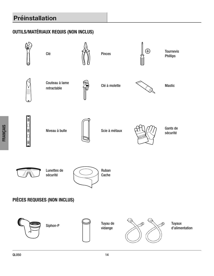# **Préinstallation**

## OUTILS/MATÉRIAUX REQUIS (NON INCLUS)

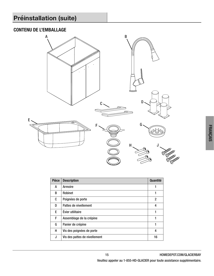## CONTENU DE L'EMBALLAGE



| <b>Pièce</b> | <b>Description</b>            | <b>Quantité</b> |
|--------------|-------------------------------|-----------------|
| A            | <b>Armoire</b>                |                 |
| B            | <b>Robinet</b>                |                 |
| C            | Poignées de porte             | 2               |
| D            | Pattes de nivellement         | 4               |
| E            | Évier utilitaire              |                 |
| F            | Assemblage de la crépine      | 1               |
| G            | Panier de crépine             | 1               |
| н            | Vis des poignées de porte     | 4               |
| J            | Vis des pattes de nivellement | 16              |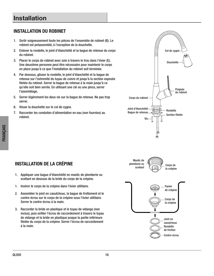## **Installation**

### INSTALLATION DU ROBINET

- 1. Sortir soigneusement toute les pièces de l'ensemble de robinet (B). Le robinet est préassemblé, à l'exception de la douchette.
- 2. Enlever la rondelle, le joint d'étanchéité et la baque de retenue du corps du robinet.
- 3 . Placer le corps de robinet avec soin à travers le trou dans l'évier (E) . Une deuxième personne peut être nécessaire pour maintenir le corps en place jusqu'à ce que l'installation du robinet soit terminée .
- 4 . Par dessous, glisser la rondelle, le joint d'étanchéité et la bague de retenue sur l'extremité du tuyau de cuivre et jusqu'à la section exposée filetée du robinet. Serrer la bague de retenue à la main jusqu'à ce qu'elle soit bien serrée . En utilisant une clé ou une pince, serrer l'assemblage.
- 5 . Serrer légèrement les deux vis sur la bague de retenue . Ne pas trop serrer.
- 6. Visser la douchette sur le col de cygne.
- 7 . Raccorder les conduites d'alimentation en eau (non fournies) au robinet.







## INSTALLATION DE LA CRÉPINE

- 1. Appliquer une bague d'étanchéité en mastic de plomberie ou scellant en dessous de la bride du corps de la crépine.
- 1. Insérer le corps de la crépine dans l'évier utilitaire.
- 2. Assembler le joint en caoutchouc, la bague de frottement et le contre-écrou sur le corps de la crépine sous l'évier utilitaire. Serrer le contre-écrou à la main.
- 3 . Raccorder la bride en plastique et le tuyau de vidange (non inclus), puis enfiler l'écrou de raccordement à travers le tuyau de vidange et la bride en plastique jusque la partie inférieure filetée du corps de la crépine. Serrer l'écrou de raccordement à la main.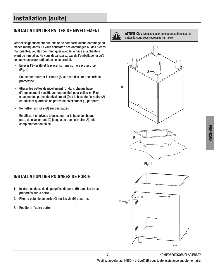# **Installation (suite)**

#### INSTALLATION DES PATTES DE NIVELLEMENT

Vérifiez soigneusement que l'unité ne comporte aucun dommage ou pièces manquantes. Si vous constatez des dommages ou des pièces manquantes, veuillez communiquer avec le service à la clientèle avant de l'installer. Ne vous débarrassez pas de l'emballage jusqu'à ce que vous soyez satisfait avec ce produit.

- Enlever l'évier (E) et le placer sur une surface protectrice  $(Fig. 1)$ .
- Doucement tourner l'armoire (A) sur son dos sur une surface protectrice.
- Glisser les pattes de nivellement (D) dans chaque base d'emplacement spécifiquement destiné pour celles-ci. Fixer chacune des pattes de nivellement (D) à la base de l'armoire (A) en utilisant quatre vis de pattes de nivellement (J) par patte.
- Remettre l'armoire (A) sur ces pattes.
- En utilisant un niveau à bulle, tourner la base de chaque patte de nivellement (D) jusqu'à ce que l'armoire (A) soit complètement de niveau.



ATTENTION : Ne pas placer de charge latérale sur les pattes lorsque vous redressez l'armoire.







### INSTALLATION DES POIGNÉES DE PORTE

- 1. Insérer les deux vis de poignées de porte (H) dans les trous prépercés sur la porte.
- 2. Fixer la poignée de porte (C) sur les vis (H) et serrer.
- 3. Répéterur l'autre porte

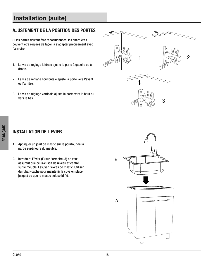# **Installation (suite)**

### AJUSTEMENT DE LA POSITION DES PORTES

Si les portes doivent être repositionnées, les charnières peuvent être réglées de façon à s'adapter précisément avec l'armoire.

- 1. La vis de réglage latérale ajuste la porte à gauche ou à droite.
- 2. La vis de réglage horizontale ajuste la porte vers l'avant ou l'arrière.
- 3. La vis de réglage verticale ajuste la porte vers le haut ou vers le bas.



## INSTALLATION DE L'ÉVIER

- 1. Appliquer un joint de mastic sur le pourtour de la partie supérieure du meuble.
- 2. Introduire l'évier (E) sur l'armoire (A) en vous assurant que celui-ci soit de niveau et centré sur le meuble. Essuyer l'excès de mastic. Utiliser du ruban-cache pour maintenir la cuve en place jusqu'à ce que le mastic soit solidifié.

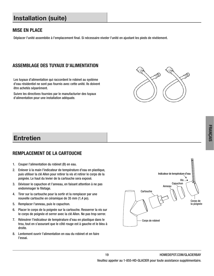## **Installation (suite)**

#### MISE EN PLACE

Déplacer l'unité assemblée à l'emplacement final. Si nécessaire niveler l'unité en ajustant les pieds de nivèlement.

### ASSEMBLAGE DES TUYAUX D'ALIMENTATION

Les tuyaux d'alimentation qui raccordent le robinet au système d'eau résidentiel ne sont pas fournis avec cette unité . Ils doivent être achetés séparément.

Suivre les directives fournies par le manufacturier des tuyaux d'alimentation pour une installation adéquate.



## **Entretien**

#### REMPLACEMENT DE LA CARTOUCHE

- 1. Couper l'alimentation du robinet (B) en eau.
- 2 . Enlever à la main l'indicateur de température d'eau en plastique, puis utiliser la clé Allen pour retirer la vis et retirer le corps de la poignée. Le haut du levier de la cartouche sera exposé.
- 3 . Dévisser le capuchon et l'anneau, en faisant attention à ne pas endommager le filetage.
- 4 . Tirer sur la cartouche pour la sortir et la remplacer par une nouvelle cartouche en céramique de 35 mm (1,4 po).
- 5. Remplacer l'anneau, puis le capuchon.
- 6. Placer le corps de la poignée sur la cartouche. Resserrer la vis sur le corps de poignée et serrer avec la clé Allen. Ne pas trop serrer.
- 7 . Réinsérer l'indicateur de température d'eau en plastique dans le trou, tout en s'assurant que le côté rouge est à gauche et le bleu à droite.
- 8. Lentement ouvrir l'alimentation en eau du robinet et en faire l'essai.

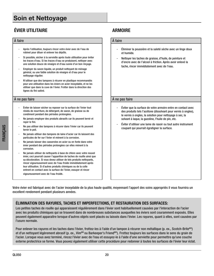# **Soin et Nettoyage**

## ÉVIER UTILITAIRE ARMOIRE

#### À faire de la communicació de la communicació de la communicació de la communicació de la communicació de la c

- Après l'utilisation, toujours rincer votre évier avec de l'eau de robinet pour diluer et enlever les dépôts .
- Si possible, sécher à la serviette après toute utilisation pour éviter les traces d'eau . Si les traces d'eau se produisent, nettoyer avec une solution douce de vinaigre et d'eau suivie d'un bon rinçage .
- Employer du savon liquide, un produit nettoyant de ménage général, ou une faible solution de vinaigre et d'eau pour le nettoyage régulier.
- N'utiliser que des tampons à récurer en plastique recommandés pour une utilisation dans les éviers en acier inoxydable, et ne les utiliser que dans la cuve de l'évier . Frotter dans la direction des lignes du fini satiné.

#### A ne pas faire  $\vert$   $\vert$   $\lambda$  ne pas faire

- Éviter de laisser sécher ou reposer sur la surface de l'évier tout résidu de nourriture, de détergent, de savon, de graisse ou de condiment pendant des périodes prolongées .
- Ne jamais employer des produits abrasifs car ils peuvent ternir et rayer le fini.
- Ne pas utiliser des tampons à récurer dans l'évier car ils peuvent ternir le poli.
- Ne jamais utiliser des tampons de laine d'acier car ils laissent des particules de fer sur l'évier et mènent à la corrosion.
- Ne jamais laisser des casseroles en acier ou en fonte dans votre évier pendant des périodes prolongées car elles mènent à la corrosion.
- Ne jamais utiliser de nettoyants à base de chlore avec votre nouvel évier, ceci pourrait causer l'apparition de taches de rouille ainsi que sa décoloration. Si vous devez utiliser de tels produits nettoyants, rincer vigoureusement avec de l'eau froide immédiatement après leur utilisation. Si d'autres produits chimiques ou de la colle entrent en contact avec la surface de l'évier, essuyer et rincer vigoureusement avec de l'eau froide .

- Éliminer la poussière et la saleté sèche avec un linge doux et humide.
- Nettoyer les taches de graisse, d'huile, de peinture et d'encre avec de l'alcool à friction . Après avoir enlevé la tache, rincer immédiatement avec de l'eau .

- Éviter que la surface de votre armoire entre en contact avec des produits tels l'acétone (dissolvant pour vernis à ongles), le vernis à ongles, la solution pour nettoyage à sec, la solvant à laque, la gazoline, l'huile de pin, etc.
- Éviter d'utiliser une lame de rasoir ou tout autre instrument coupant qui pourrait égratigner la surface.

Votre évier est fabriqué avec de l'acier inoxydable de la plus haute qualité, moyennant l'apport des soins appropriés il vous fournira un excellent rendement pendant plusieurs années .

#### ÉLIMINATION DES RAYURES, TACHES ET IMPERFECTIONS, ET RESTAURATION DES SURFACES:

Les petites taches de rouille qui apparaissent régulièrement dans l'évier sont habituellement causées par l'interaction de l'acier avec les produits chimiques qui se trouvent dans de nombreuses substances auxquelles les éviers sont couramment exposés . Elles peuvent également apparaitre lorsque d'autres objets sont placés ou laissés dans l'évier . Les rayures, quant à elles, sont causées par l'usure normale.

Pour enlever les rayures et les taches dans l'évier, frottez-les à l'aide d'un tampon à récurer non métallique (p. ex., Scotch-Brite<sup>MD</sup>) et d'un nettoyant légèrement abrasif (p. ex., Vim<sup>MD</sup> ou Barkeeper's Friend<sup>MD</sup>). Frottez toujours les surfaces dans le sens du grain de l'acier. Lorsque vous avez terminé, rincez l'évier avec de l'eau et essuyez-le à l'aide d'une serviette pour permettre qu'une couche externe protectrice se forme. Vous pouvez également utiliser cette procédure pour redonner à toutes les surfaces de l'évier leur éclat.

FRANÇAIS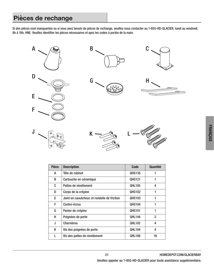## **Pièces de rechange**

Si des pièces sont manquantes ou si vous avez besoin de pièces de rechange, veuillez nous contacter au 1-855-HD-GLACIER, lundi au vendredi, 8h à 18h, HNE. Veuillez identifier les pièces nécessaires et ayez les codes à portée de la main.



| <b>Pièce</b> | <b>Description</b>                          | <b>Code</b>   | Quantité       |
|--------------|---------------------------------------------|---------------|----------------|
| А            | Tête de robinet                             | <b>QHS135</b> |                |
| B            | Cartouche en céramique                      | <b>QHS121</b> |                |
| C            | Pattes de nivellement                       | <b>QHL105</b> | 4              |
| D            | Corps de la crépine                         | <b>QHS102</b> | 1              |
| E            | Joint en caoutchouc et rondelle de friction | <b>QHS103</b> | 1              |
| F            | Contre-écrou                                | <b>QHS104</b> | 1              |
| G            | Panier de crépine                           | <b>QHS101</b> | 1              |
| н            | Poignées de porte                           | <b>OHL144</b> | $\mathfrak{p}$ |
| J            | <b>Charnières</b>                           | <b>QHL102</b> | 4              |
| K            | Vis des poignées de porte                   | <b>QHL104</b> | 4              |
|              | Vis des pattes de nivellement               | <b>QHL106</b> | 16             |